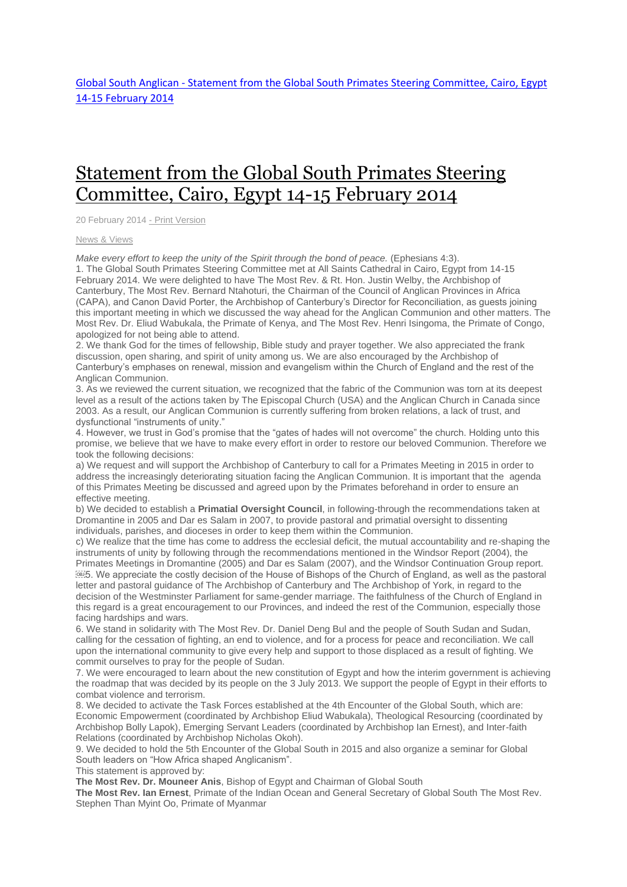# [Statement](http://www.globalsouthanglican.org/index.php/blog/comments/statement_from_the_global_south_primates_steering_committee_cairo_egypt_14) from the Global South Primates Steering [Committee,](http://www.globalsouthanglican.org/index.php/blog/comments/statement_from_the_global_south_primates_steering_committee_cairo_egypt_14) Cairo, Egypt 14-15 February 2014

20 February 2014 - Print [Version](http://globalsouthanglican.org/index.php/blog/printing/statement_from_the_global_south_primates_steering_committee_cairo_egypt_14)

#### News & [Views](http://globalsouthanglican.org/index.php/archives/category/news_views)

*Make every effort to keep the unity of the Spirit through the bond of peace.* (Ephesians 4:3).

1. The Global South Primates Steering Committee met at All Saints Cathedral in Cairo, Egypt from 14-15 February 2014. We were delighted to have The Most Rev. & Rt. Hon. Justin Welby, the Archbishop of Canterbury, The Most Rev. Bernard Ntahoturi, the Chairman of the Council of Anglican Provinces in Africa (CAPA), and Canon David Porter, the Archbishop of Canterbury's Director for Reconciliation, as guests joining this important meeting in which we discussed the way ahead for the Anglican Communion and other matters. The Most Rev. Dr. Eliud Wabukala, the Primate of Kenya, and The Most Rev. Henri Isingoma, the Primate of Congo, apologized for not being able to attend.

2. We thank God for the times of fellowship, Bible study and prayer together. We also appreciated the frank discussion, open sharing, and spirit of unity among us. We are also encouraged by the Archbishop of Canterbury's emphases on renewal, mission and evangelism within the Church of England and the rest of the Anglican Communion.

3. As we reviewed the current situation, we recognized that the fabric of the Communion was torn at its deepest level as a result of the actions taken by The Episcopal Church (USA) and the Anglican Church in Canada since 2003. As a result, our Anglican Communion is currently suffering from broken relations, a lack of trust, and dysfunctional "instruments of unity."

4. However, we trust in God's promise that the "gates of hades will not overcome" the church. Holding unto this promise, we believe that we have to make every effort in order to restore our beloved Communion. Therefore we took the following decisions:

a) We request and will support the Archbishop of Canterbury to call for a Primates Meeting in 2015 in order to address the increasingly deteriorating situation facing the Anglican Communion. It is important that the agenda of this Primates Meeting be discussed and agreed upon by the Primates beforehand in order to ensure an effective meeting.

b) We decided to establish a **Primatial Oversight Council**, in following-through the recommendations taken at Dromantine in 2005 and Dar es Salam in 2007, to provide pastoral and primatial oversight to dissenting individuals, parishes, and dioceses in order to keep them within the Communion.

c) We realize that the time has come to address the ecclesial deficit, the mutual accountability and re-shaping the instruments of unity by following through the recommendations mentioned in the Windsor Report (2004), the Primates Meetings in Dromantine (2005) and Dar es Salam (2007), and the Windsor Continuation Group report. 5. We appreciate the costly decision of the House of Bishops of the Church of England, as well as the pastoral letter and pastoral guidance of The Archbishop of Canterbury and The Archbishop of York, in regard to the decision of the Westminster Parliament for same-gender marriage. The faithfulness of the Church of England in this regard is a great encouragement to our Provinces, and indeed the rest of the Communion, especially those facing hardships and wars.

6. We stand in solidarity with The Most Rev. Dr. Daniel Deng Bul and the people of South Sudan and Sudan, calling for the cessation of fighting, an end to violence, and for a process for peace and reconciliation. We call upon the international community to give every help and support to those displaced as a result of fighting. We commit ourselves to pray for the people of Sudan.

7. We were encouraged to learn about the new constitution of Egypt and how the interim government is achieving the roadmap that was decided by its people on the 3 July 2013. We support the people of Egypt in their efforts to combat violence and terrorism.

8. We decided to activate the Task Forces established at the 4th Encounter of the Global South, which are: Economic Empowerment (coordinated by Archbishop Eliud Wabukala), Theological Resourcing (coordinated by Archbishop Bolly Lapok), Emerging Servant Leaders (coordinated by Archbishop Ian Ernest), and Inter-faith Relations (coordinated by Archbishop Nicholas Okoh).

9. We decided to hold the 5th Encounter of the Global South in 2015 and also organize a seminar for Global South leaders on "How Africa shaped Anglicanism".

This statement is approved by:

**The Most Rev. Dr. Mouneer Anis**, Bishop of Egypt and Chairman of Global South

**The Most Rev. Ian Ernest**, Primate of the Indian Ocean and General Secretary of Global South The Most Rev. Stephen Than Myint Oo, Primate of Myanmar